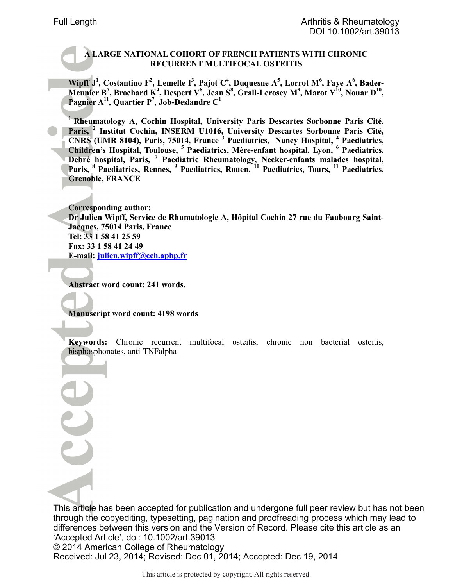## **A LARGE NATIONAL COHORT OF FRENCH PATIENTS WITH CHRONIC RECURRENT MULTIFOCAL OSTEITIS**

**Wipff J<sup>1</sup> , Costantino F<sup>2</sup> , Lemelle I<sup>3</sup> , Pajot C<sup>4</sup> , Duquesne A<sup>5</sup> , Lorrot M<sup>6</sup> , Faye A<sup>6</sup> , Bader-Meunier B<sup>7</sup> , Brochard K<sup>4</sup> , Despert V<sup>8</sup> , Jean S<sup>8</sup> , Grall-Lerosey M<sup>9</sup> , Marot Y<sup>10</sup>, Nouar D<sup>10</sup> , Pagnier A<sup>11</sup>, Quartier P<sup>7</sup> , Job-Deslandre C<sup>1</sup>**

**<sup>1</sup>Rheumatology A, Cochin Hospital, University Paris Descartes Sorbonne Paris Cité, Paris, <sup>2</sup> Institut Cochin, INSERM U1016, University Descartes Sorbonne Paris Cité, CNRS (UMR 8104), Paris, 75014, France <sup>3</sup> Paediatrics, Nancy Hospital, <sup>4</sup> Paediatrics, Children's Hospital, Toulouse, <sup>5</sup> Paediatrics, Mère-enfant hospital, Lyon, <sup>6</sup> Paediatrics, Debré hospital, Paris, <sup>7</sup> Paediatric Rheumatology, Necker-enfants malades hospital, Paris, <sup>8</sup> Paediatrics, Rennes, <sup>9</sup> Paediatrics, Rouen, <sup>10</sup> Paediatrics, Tours, <sup>11</sup> Paediatrics, Grenoble, FRANCE** 

**Corresponding author: Dr Julien Wipff, Service de Rhumatologie A, Hôpital Cochin 27 rue du Faubourg Saint-Jacques, 75014 Paris, France Tel: 33 1 58 41 25 59 Fax: 33 1 58 41 24 49 E-mail: julien.wipff@cch.aphp.fr**

**Abstract word count: 241 words.** 

**Manuscript word count: 4198 words** 

**Keywords:** Chronic recurrent multifocal osteitis, chronic non bacterial osteitis, bisphosphonates, anti-TNFalpha

This article has been accepted for publication and undergone full peer review but has not been through the copyediting, typesetting, pagination and proofreading process which may lead to differences between this version and the Version of Record. Please cite this article as an 'Accepted Article', doi: 10.1002/art.39013 © 2014 American College of Rheumatology Received: Jul 23, 2014; Revised: Dec 01, 2014; Accepted: Dec 19, 2014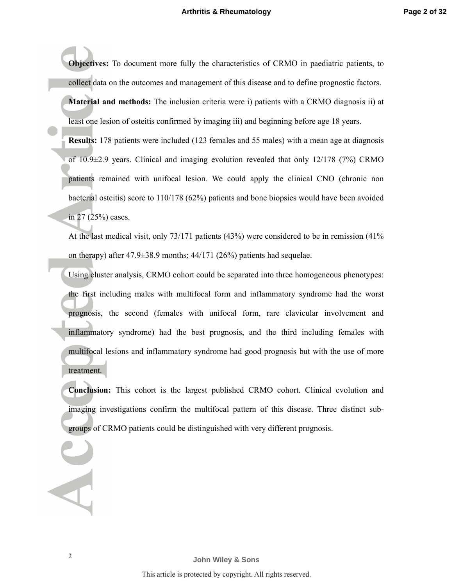**Objectives:** To document more fully the characteristics of CRMO in paediatric patients, to collect data on the outcomes and management of this disease and to define prognostic factors.

**Material and methods:** The inclusion criteria were i) patients with a CRMO diagnosis ii) at least one lesion of osteitis confirmed by imaging iii) and beginning before age 18 years.

**Results:** 178 patients were included (123 females and 55 males) with a mean age at diagnosis of 10.9±2.9 years. Clinical and imaging evolution revealed that only 12/178 (7%) CRMO patients remained with unifocal lesion. We could apply the clinical CNO (chronic non bacterial osteitis) score to 110/178 (62%) patients and bone biopsies would have been avoided in 27 (25%) cases.

At the last medical visit, only 73/171 patients (43%) were considered to be in remission (41% on therapy) after 47.9±38.9 months; 44/171 (26%) patients had sequelae.

Using cluster analysis, CRMO cohort could be separated into three homogeneous phenotypes: the first including males with multifocal form and inflammatory syndrome had the worst prognosis, the second (females with unifocal form, rare clavicular involvement and inflammatory syndrome) had the best prognosis, and the third including females with multifocal lesions and inflammatory syndrome had good prognosis but with the use of more treatment.

**Conclusion:** This cohort is the largest published CRMO cohort. Clinical evolution and imaging investigations confirm the multifocal pattern of this disease. Three distinct subgroups of CRMO patients could be distinguished with very different prognosis.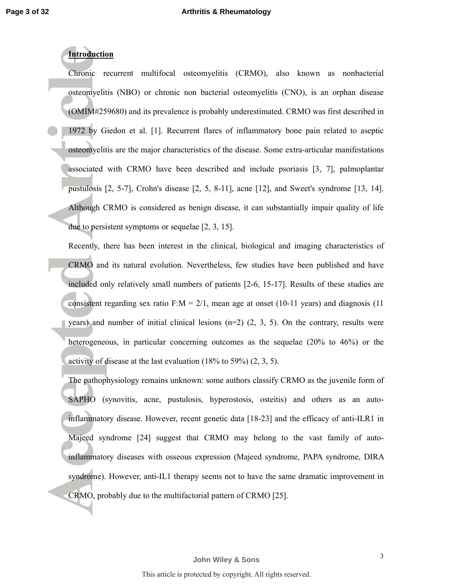## **Introduction**

Chronic recurrent multifocal osteomyelitis (CRMO), also known as nonbacterial osteomyelitis (NBO) or chronic non bacterial osteomyelitis (CNO), is an orphan disease (OMIM#259680) and its prevalence is probably underestimated. CRMO was first described in 1972 by Giedon et al. [1]. Recurrent flares of inflammatory bone pain related to aseptic osteomyelitis are the major characteristics of the disease. Some extra-articular manifestations associated with CRMO have been described and include psoriasis [3, 7], palmoplantar pustulosis [2, 5-7], Crohn's disease [2, 5, 8-11], acne [12], and Sweet's syndrome [13, 14]. Although CRMO is considered as benign disease, it can substantially impair quality of life due to persistent symptoms or sequelae [2, 3, 15].

Recently, there has been interest in the clinical, biological and imaging characteristics of CRMO and its natural evolution. Nevertheless, few studies have been published and have included only relatively small numbers of patients [2-6, 15-17]. Results of these studies are consistent regarding sex ratio F: $M = 2/1$ , mean age at onset (10-11 years) and diagnosis (11) years) and number of initial clinical lesions  $(n=2)$   $(2, 3, 5)$ . On the contrary, results were heterogeneous, in particular concerning outcomes as the sequelae (20% to 46%) or the activity of disease at the last evaluation (18% to 59%) (2, 3, 5).

The pathophysiology remains unknown: some authors classify CRMO as the juvenile form of SAPHO (synovitis, acne, pustulosis, hyperostosis, osteitis) and others as an autoinflammatory disease. However, recent genetic data [18-23] and the efficacy of anti-ILR1 in Majeed syndrome [24] suggest that CRMO may belong to the vast family of autoinflammatory diseases with osseous expression (Majeed syndrome, PAPA syndrome, DIRA syndrome). However, anti-IL1 therapy seems not to have the same dramatic improvement in CRMO, probably due to the multifactorial pattern of CRMO [25].

3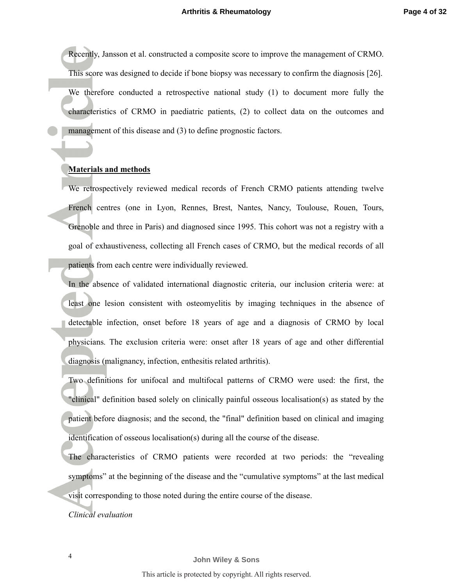Recently, Jansson et al. constructed a composite score to improve the management of CRMO. This score was designed to decide if bone biopsy was necessary to confirm the diagnosis [26]. We therefore conducted a retrospective national study (1) to document more fully the characteristics of CRMO in paediatric patients, (2) to collect data on the outcomes and management of this disease and (3) to define prognostic factors.

#### **Materials and methods**

We retrospectively reviewed medical records of French CRMO patients attending twelve French centres (one in Lyon, Rennes, Brest, Nantes, Nancy, Toulouse, Rouen, Tours, Grenoble and three in Paris) and diagnosed since 1995. This cohort was not a registry with a goal of exhaustiveness, collecting all French cases of CRMO, but the medical records of all patients from each centre were individually reviewed.

In the absence of validated international diagnostic criteria, our inclusion criteria were: at least one lesion consistent with osteomyelitis by imaging techniques in the absence of detectable infection, onset before 18 years of age and a diagnosis of CRMO by local physicians. The exclusion criteria were: onset after 18 years of age and other differential diagnosis (malignancy, infection, enthesitis related arthritis).

Two definitions for unifocal and multifocal patterns of CRMO were used: the first, the "clinical" definition based solely on clinically painful osseous localisation(s) as stated by the patient before diagnosis; and the second, the "final" definition based on clinical and imaging identification of osseous localisation(s) during all the course of the disease.

The characteristics of CRMO patients were recorded at two periods: the "revealing symptoms" at the beginning of the disease and the "cumulative symptoms" at the last medical visit corresponding to those noted during the entire course of the disease.

*Clinical evaluation*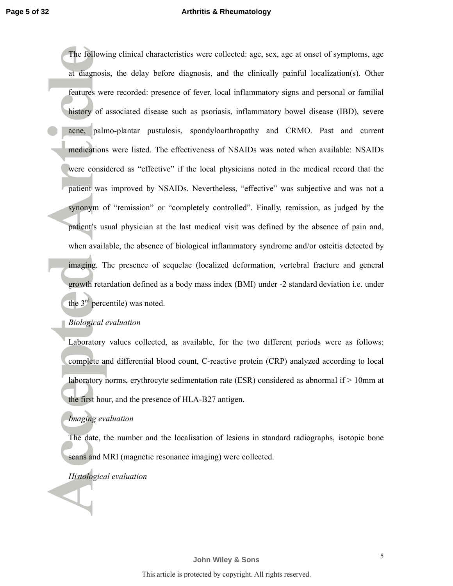The following clinical characteristics were collected: age, sex, age at onset of symptoms, age at diagnosis, the delay before diagnosis, and the clinically painful localization(s). Other features were recorded: presence of fever, local inflammatory signs and personal or familial history of associated disease such as psoriasis, inflammatory bowel disease (IBD), severe acne, palmo-plantar pustulosis, spondyloarthropathy and CRMO. Past and current medications were listed. The effectiveness of NSAIDs was noted when available: NSAIDs were considered as "effective" if the local physicians noted in the medical record that the patient was improved by NSAIDs. Nevertheless, "effective" was subjective and was not a synonym of "remission" or "completely controlled". Finally, remission, as judged by the patient's usual physician at the last medical visit was defined by the absence of pain and, when available, the absence of biological inflammatory syndrome and/or osteitis detected by imaging. The presence of sequelae (localized deformation, vertebral fracture and general growth retardation defined as a body mass index (BMI) under -2 standard deviation i.e. under the  $3<sup>rd</sup>$  percentile) was noted.

## *Biological evaluation*

Laboratory values collected, as available, for the two different periods were as follows: complete and differential blood count, C-reactive protein (CRP) analyzed according to local laboratory norms, erythrocyte sedimentation rate (ESR) considered as abnormal if > 10mm at the first hour, and the presence of HLA-B27 antigen.

### *Imaging evaluation*

The date, the number and the localisation of lesions in standard radiographs, isotopic bone scans and MRI (magnetic resonance imaging) were collected.

## *Histological evaluation*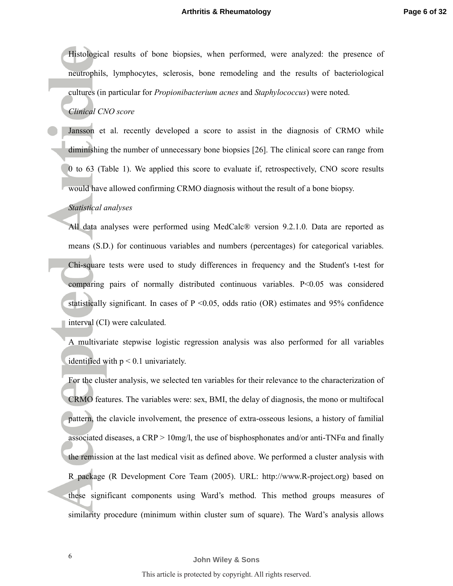Histological results of bone biopsies, when performed, were analyzed: the presence of neutrophils, lymphocytes, sclerosis, bone remodeling and the results of bacteriological cultures (in particular for *Propionibacterium acnes* and *Staphylococcus*) were noted.

## *Clinical CNO score*

Jansson et al. recently developed a score to assist in the diagnosis of CRMO while diminishing the number of unnecessary bone biopsies [26]. The clinical score can range from 0 to 63 (Table 1). We applied this score to evaluate if, retrospectively, CNO score results would have allowed confirming CRMO diagnosis without the result of a bone biopsy.

## *Statistical analyses*

All data analyses were performed using MedCalc® version 9.2.1.0. Data are reported as means (S.D.) for continuous variables and numbers (percentages) for categorical variables. Chi-square tests were used to study differences in frequency and the Student's t-test for comparing pairs of normally distributed continuous variables.  $P<0.05$  was considered statistically significant. In cases of  $P \le 0.05$ , odds ratio (OR) estimates and 95% confidence interval (CI) were calculated.

A multivariate stepwise logistic regression analysis was also performed for all variables identified with  $p < 0.1$  univariately.

For the cluster analysis, we selected ten variables for their relevance to the characterization of CRMO features. The variables were: sex, BMI, the delay of diagnosis, the mono or multifocal pattern, the clavicle involvement, the presence of extra-osseous lesions, a history of familial associated diseases, a CRP > 10mg/l, the use of bisphosphonates and/or anti-TNF $\alpha$  and finally the remission at the last medical visit as defined above. We performed a cluster analysis with R package (R Development Core Team (2005). URL: http://www.R-project.org) based on these significant components using Ward's method. This method groups measures of similarity procedure (minimum within cluster sum of square). The Ward's analysis allows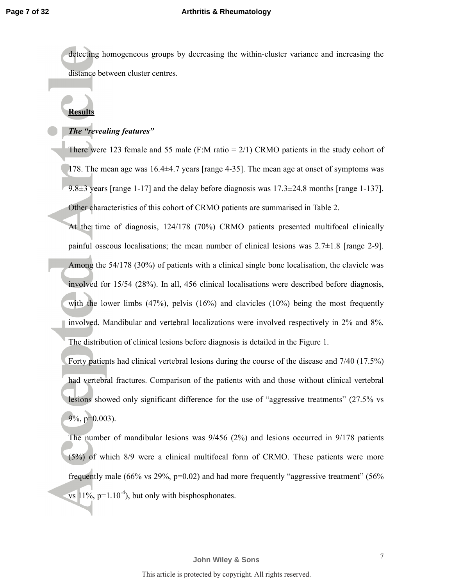detecting homogeneous groups by decreasing the within-cluster variance and increasing the distance between cluster centres.

# **Results**

## *The "revealing features"*

There were 123 female and 55 male (F:M ratio  $= 2/1$ ) CRMO patients in the study cohort of 178. The mean age was 16.4±4.7 years [range 4-35]. The mean age at onset of symptoms was 9.8 $\pm$ 3 years [range 1-17] and the delay before diagnosis was 17.3 $\pm$ 24.8 months [range 1-137]. Other characteristics of this cohort of CRMO patients are summarised in Table 2.

At the time of diagnosis, 124/178 (70%) CRMO patients presented multifocal clinically painful osseous localisations; the mean number of clinical lesions was  $2.7\pm1.8$  [range 2-9]. Among the 54/178 (30%) of patients with a clinical single bone localisation, the clavicle was involved for 15/54 (28%). In all, 456 clinical localisations were described before diagnosis, with the lower limbs (47%), pelvis (16%) and clavicles (10%) being the most frequently involved. Mandibular and vertebral localizations were involved respectively in 2% and 8%. The distribution of clinical lesions before diagnosis is detailed in the Figure 1.

Forty patients had clinical vertebral lesions during the course of the disease and 7/40 (17.5%) had vertebral fractures. Comparison of the patients with and those without clinical vertebral lesions showed only significant difference for the use of "aggressive treatments" (27.5% vs 9%, p=0.003).

The number of mandibular lesions was 9/456 (2%) and lesions occurred in 9/178 patients (5%) of which 8/9 were a clinical multifocal form of CRMO. These patients were more frequently male (66% vs 29%,  $p=0.02$ ) and had more frequently "aggressive treatment" (56% vs  $11\%$ , p=1.10<sup>-4</sup>), but only with bisphosphonates.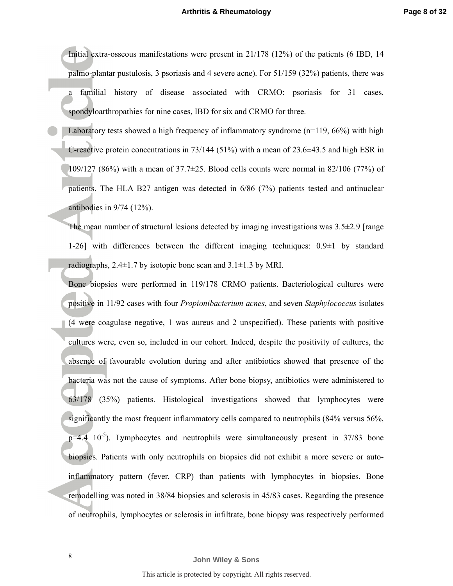Initial extra-osseous manifestations were present in 21/178 (12%) of the patients (6 IBD, 14 palmo-plantar pustulosis, 3 psoriasis and 4 severe acne). For 51/159 (32%) patients, there was familial history of disease associated with CRMO: psoriasis for 31 cases, spondyloarthropathies for nine cases, IBD for six and CRMO for three.

Laboratory tests showed a high frequency of inflammatory syndrome  $(n=119, 66%)$  with high C-reactive protein concentrations in  $73/144$  (51%) with a mean of 23.6 $\pm$ 43.5 and high ESR in 109/127 (86%) with a mean of  $37.7 \pm 25$ . Blood cells counts were normal in 82/106 (77%) of patients. The HLA B27 antigen was detected in 6/86 (7%) patients tested and antinuclear antibodies in 9/74 (12%).

The mean number of structural lesions detected by imaging investigations was  $3.5\pm2.9$  [range 1-26] with differences between the different imaging techniques: 0.9±1 by standard radiographs,  $2.4 \pm 1.7$  by isotopic bone scan and  $3.1 \pm 1.3$  by MRI.

Bone biopsies were performed in 119/178 CRMO patients. Bacteriological cultures were positive in 11/92 cases with four *Propionibacterium acnes*, and seven *Staphylococcus* isolates (4 were coagulase negative, 1 was aureus and 2 unspecified). These patients with positive cultures were, even so, included in our cohort. Indeed, despite the positivity of cultures, the absence of favourable evolution during and after antibiotics showed that presence of the bacteria was not the cause of symptoms. After bone biopsy, antibiotics were administered to 63/178 (35%) patients. Histological investigations showed that lymphocytes were significantly the most frequent inflammatory cells compared to neutrophils (84% versus 56%,  $p=4.4$  10<sup>-5</sup>). Lymphocytes and neutrophils were simultaneously present in 37/83 bone biopsies. Patients with only neutrophils on biopsies did not exhibit a more severe or autoinflammatory pattern (fever, CRP) than patients with lymphocytes in biopsies. Bone remodelling was noted in 38/84 biopsies and sclerosis in 45/83 cases. Regarding the presence of neutrophils, lymphocytes or sclerosis in infiltrate, bone biopsy was respectively performed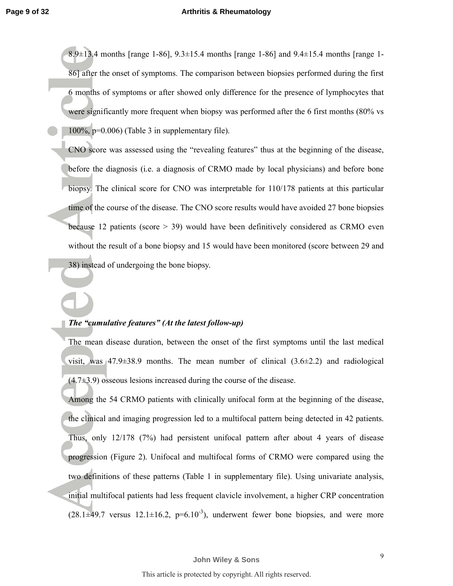8.9±13.4 months [range 1-86], 9.3±15.4 months [range 1-86] and 9.4±15.4 months [range 1- 86] after the onset of symptoms. The comparison between biopsies performed during the first 6 months of symptoms or after showed only difference for the presence of lymphocytes that were significantly more frequent when biopsy was performed after the 6 first months (80% vs 100%, p=0.006) (Table 3 in supplementary file).

CNO score was assessed using the "revealing features" thus at the beginning of the disease, before the diagnosis (i.e. a diagnosis of CRMO made by local physicians) and before bone biopsy. The clinical score for CNO was interpretable for 110/178 patients at this particular time of the course of the disease. The CNO score results would have avoided 27 bone biopsies because 12 patients (score > 39) would have been definitively considered as CRMO even without the result of a bone biopsy and 15 would have been monitored (score between 29 and 38) instead of undergoing the bone biopsy.

## *The "cumulative features" (At the latest follow-up)*

The mean disease duration, between the onset of the first symptoms until the last medical visit, was  $47.9\pm38.9$  months. The mean number of clinical  $(3.6\pm2.2)$  and radiological  $(4.7\pm3.9)$  osseous lesions increased during the course of the disease.

Among the 54 CRMO patients with clinically unifocal form at the beginning of the disease, the clinical and imaging progression led to a multifocal pattern being detected in 42 patients. Thus, only 12/178 (7%) had persistent unifocal pattern after about 4 years of disease progression (Figure 2). Unifocal and multifocal forms of CRMO were compared using the two definitions of these patterns (Table 1 in supplementary file). Using univariate analysis, initial multifocal patients had less frequent clavicle involvement, a higher CRP concentration  $(28.1\pm49.7$  versus  $12.1\pm16.2$ ,  $p=6.10^{-3}$ ), underwent fewer bone biopsies, and were more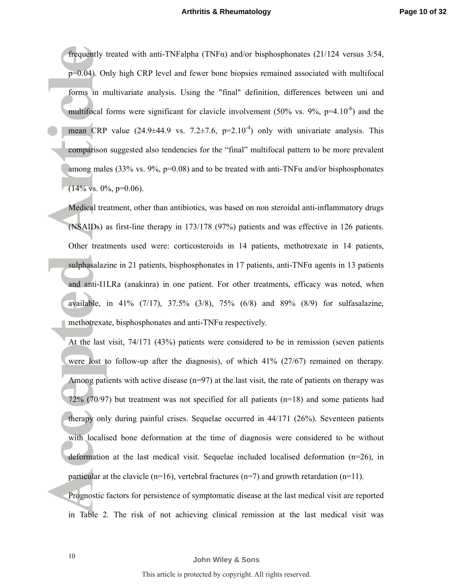frequently treated with anti-TNFalpha (TNF $\alpha$ ) and/or bisphosphonates (21/124 versus 3/54, p=0.04). Only high CRP level and fewer bone biopsies remained associated with multifocal forms in multivariate analysis. Using the "final" definition, differences between uni and multifocal forms were significant for clavicle involvement (50% vs. 9%,  $p=4.10^{-6}$ ) and the mean CRP value  $(24.9\pm44.9 \text{ vs. } 7.2\pm7.6, \text{ p=2.10}^4)$  only with univariate analysis. This comparison suggested also tendencies for the "final" multifocal pattern to be more prevalent among males (33% vs. 9%,  $p=0.08$ ) and to be treated with anti-TNF $\alpha$  and/or bisphosphonates  $(14\% \text{ vs. } 0\%, \text{ p=0.06}).$ 

Medical treatment, other than antibiotics, was based on non steroidal anti-inflammatory drugs (NSAIDs) as first-line therapy in 173/178 (97%) patients and was effective in 126 patients. Other treatments used were: corticosteroids in 14 patients, methotrexate in 14 patients, sulphasalazine in 21 patients, bisphosphonates in 17 patients, anti-TNF $\alpha$  agents in 13 patients and anti-I1LRa (anakinra) in one patient. For other treatments, efficacy was noted, when available, in 41% (7/17), 37.5% (3/8), 75% (6/8) and 89% (8/9) for sulfasalazine, methotrexate, bisphosphonates and anti-TNFα respectively.

At the last visit, 74/171 (43%) patients were considered to be in remission (seven patients were lost to follow-up after the diagnosis), of which 41% (27/67) remained on therapy. Among patients with active disease  $(n=97)$  at the last visit, the rate of patients on therapy was 72% (70/97) but treatment was not specified for all patients (n=18) and some patients had therapy only during painful crises. Sequelae occurred in 44/171 (26%). Seventeen patients with localised bone deformation at the time of diagnosis were considered to be without deformation at the last medical visit. Sequelae included localised deformation (n=26), in particular at the clavicle ( $n=16$ ), vertebral fractures ( $n=7$ ) and growth retardation ( $n=11$ ).

Prognostic factors for persistence of symptomatic disease at the last medical visit are reported in Table 2. The risk of not achieving clinical remission at the last medical visit was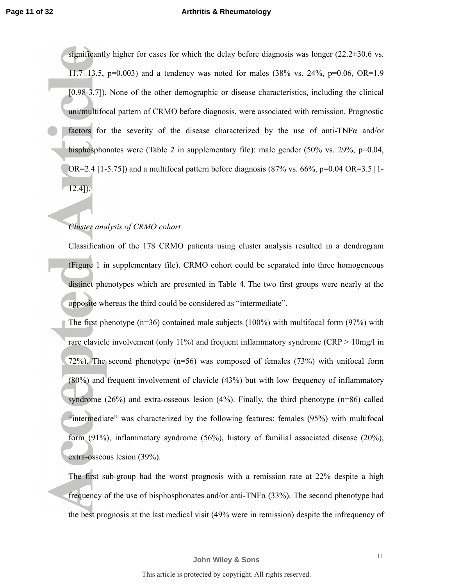significantly higher for cases for which the delay before diagnosis was longer  $(22.2\pm30.6 \text{ vs.})$  $11.7\pm13.5$ , p=0.003) and a tendency was noted for males (38% vs. 24%, p=0.06, OR=1.9 [0.98-3.7]). None of the other demographic or disease characteristics, including the clinical uni/multifocal pattern of CRMO before diagnosis, were associated with remission. Prognostic factors for the severity of the disease characterized by the use of anti-TNF $\alpha$  and/or bisphosphonates were (Table 2 in supplementary file): male gender (50% vs. 29%, p=0.04,  $OR=2.4$  [1-5.75]) and a multifocal pattern before diagnosis (87% vs. 66%, p=0.04 OR=3.5 [1-12.4]).

### *Cluster analysis of CRMO cohort*

Classification of the 178 CRMO patients using cluster analysis resulted in a dendrogram (Figure 1 in supplementary file). CRMO cohort could be separated into three homogeneous distinct phenotypes which are presented in Table 4. The two first groups were nearly at the opposite whereas the third could be considered as "intermediate".

The first phenotype  $(n=36)$  contained male subjects  $(100\%)$  with multifocal form  $(97\%)$  with rare clavicle involvement (only 11%) and frequent inflammatory syndrome (CRP > 10mg/l in 72%). The second phenotype (n=56) was composed of females (73%) with unifocal form (80%) and frequent involvement of clavicle (43%) but with low frequency of inflammatory syndrome  $(26%)$  and extra-osseous lesion  $(4%)$ . Finally, the third phenotype  $(n=86)$  called "intermediate" was characterized by the following features: females (95%) with multifocal form (91%), inflammatory syndrome (56%), history of familial associated disease (20%), extra-osseous lesion (39%).

The first sub-group had the worst prognosis with a remission rate at 22% despite a high frequency of the use of bisphosphonates and/or anti-TNF $\alpha$  (33%). The second phenotype had the best prognosis at the last medical visit (49% were in remission) despite the infrequency of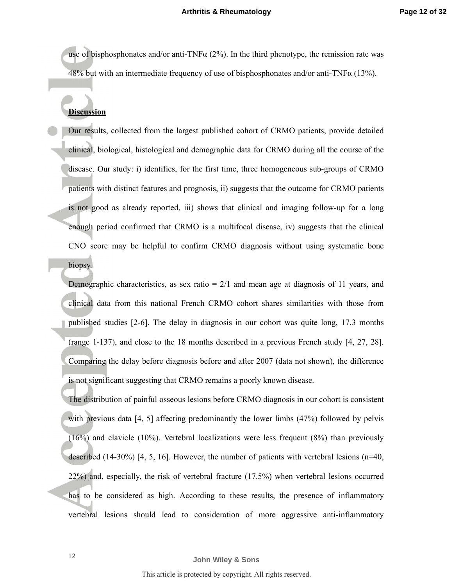use of bisphosphonates and/or anti-TNF $\alpha$  (2%). In the third phenotype, the remission rate was 48% but with an intermediate frequency of use of bisphosphonates and/or anti-TNF $\alpha$  (13%).

## **Discussion**

Our results, collected from the largest published cohort of CRMO patients, provide detailed clinical, biological, histological and demographic data for CRMO during all the course of the disease. Our study: i) identifies, for the first time, three homogeneous sub-groups of CRMO patients with distinct features and prognosis, ii) suggests that the outcome for CRMO patients is not good as already reported, iii) shows that clinical and imaging follow-up for a long enough period confirmed that CRMO is a multifocal disease, iv) suggests that the clinical CNO score may be helpful to confirm CRMO diagnosis without using systematic bone biopsy.

Demographic characteristics, as sex ratio  $= 2/1$  and mean age at diagnosis of 11 years, and clinical data from this national French CRMO cohort shares similarities with those from published studies [2-6]. The delay in diagnosis in our cohort was quite long, 17.3 months (range 1-137), and close to the 18 months described in a previous French study [4, 27, 28]. Comparing the delay before diagnosis before and after 2007 (data not shown), the difference is not significant suggesting that CRMO remains a poorly known disease.

The distribution of painful osseous lesions before CRMO diagnosis in our cohort is consistent with previous data [4, 5] affecting predominantly the lower limbs (47%) followed by pelvis  $(16%)$  and clavicle  $(10%)$ . Vertebral localizations were less frequent  $(8%)$  than previously described (14-30%) [4, 5, 16]. However, the number of patients with vertebral lesions ( $n=40$ , 22%) and, especially, the risk of vertebral fracture (17.5%) when vertebral lesions occurred has to be considered as high. According to these results, the presence of inflammatory vertebral lesions should lead to consideration of more aggressive anti-inflammatory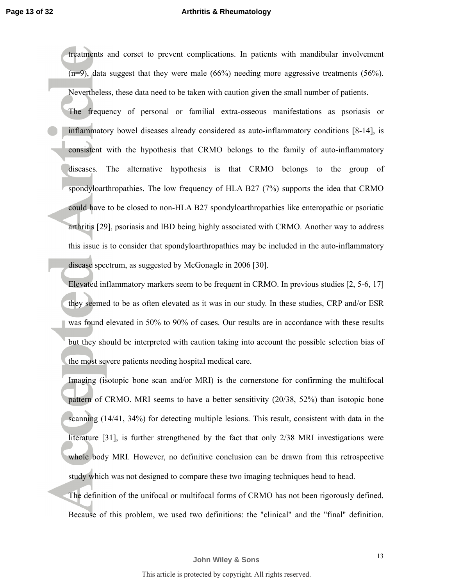treatments and corset to prevent complications. In patients with mandibular involvement (n=9), data suggest that they were male (66%) needing more aggressive treatments (56%). Nevertheless, these data need to be taken with caution given the small number of patients.

The frequency of personal or familial extra-osseous manifestations as psoriasis or inflammatory bowel diseases already considered as auto-inflammatory conditions [8-14], is consistent with the hypothesis that CRMO belongs to the family of auto-inflammatory diseases. The alternative hypothesis is that CRMO belongs to the group of spondyloarthropathies. The low frequency of HLA B27 (7%) supports the idea that CRMO could have to be closed to non-HLA B27 spondyloarthropathies like enteropathic or psoriatic arthritis [29], psoriasis and IBD being highly associated with CRMO. Another way to address this issue is to consider that spondyloarthropathies may be included in the auto-inflammatory disease spectrum, as suggested by McGonagle in 2006 [30].

Elevated inflammatory markers seem to be frequent in CRMO. In previous studies [2, 5-6, 17] they seemed to be as often elevated as it was in our study. In these studies, CRP and/or ESR was found elevated in 50% to 90% of cases. Our results are in accordance with these results but they should be interpreted with caution taking into account the possible selection bias of the most severe patients needing hospital medical care.

Imaging (isotopic bone scan and/or MRI) is the cornerstone for confirming the multifocal pattern of CRMO. MRI seems to have a better sensitivity (20/38, 52%) than isotopic bone scanning (14/41, 34%) for detecting multiple lesions. This result, consistent with data in the literature [31], is further strengthened by the fact that only 2/38 MRI investigations were whole body MRI. However, no definitive conclusion can be drawn from this retrospective study which was not designed to compare these two imaging techniques head to head.

The definition of the unifocal or multifocal forms of CRMO has not been rigorously defined. Because of this problem, we used two definitions: the "clinical" and the "final" definition.

**John Wiley & Sons**

13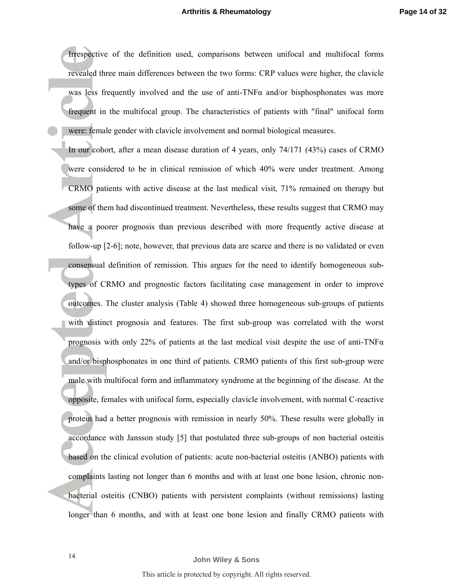Irrespective of the definition used, comparisons between unifocal and multifocal forms revealed three main differences between the two forms: CRP values were higher, the clavicle was less frequently involved and the use of anti-TNFα and/or bisphosphonates was more frequent in the multifocal group. The characteristics of patients with "final" unifocal form were: female gender with clavicle involvement and normal biological measures.

In our cohort, after a mean disease duration of 4 years, only 74/171 (43%) cases of CRMO were considered to be in clinical remission of which 40% were under treatment. Among CRMO patients with active disease at the last medical visit, 71% remained on therapy but some of them had discontinued treatment. Nevertheless, these results suggest that CRMO may have a poorer prognosis than previous described with more frequently active disease at follow-up [2-6]; note, however, that previous data are scarce and there is no validated or even consensual definition of remission. This argues for the need to identify homogeneous subtypes of CRMO and prognostic factors facilitating case management in order to improve outcomes. The cluster analysis (Table 4) showed three homogeneous sub-groups of patients with distinct prognosis and features. The first sub-group was correlated with the worst prognosis with only 22% of patients at the last medical visit despite the use of anti-TNF $\alpha$ and/or bisphosphonates in one third of patients. CRMO patients of this first sub-group were male with multifocal form and inflammatory syndrome at the beginning of the disease. At the opposite, females with unifocal form, especially clavicle involvement, with normal C-reactive protein had a better prognosis with remission in nearly 50%. These results were globally in accordance with Jansson study [5] that postulated three sub-groups of non bacterial osteitis based on the clinical evolution of patients: acute non-bacterial osteitis (ANBO) patients with complaints lasting not longer than 6 months and with at least one bone lesion, chronic nonbacterial osteitis (CNBO) patients with persistent complaints (without remissions) lasting longer than 6 months, and with at least one bone lesion and finally CRMO patients with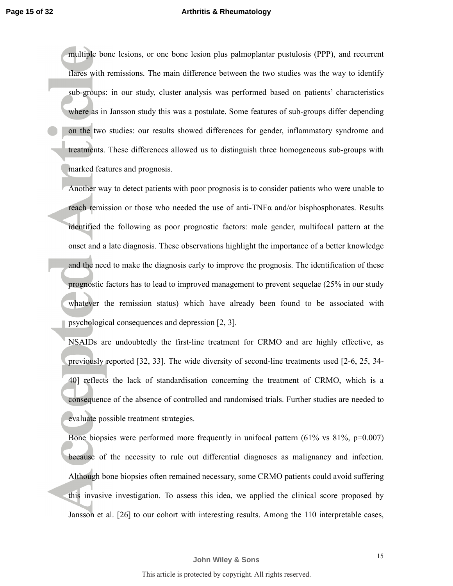multiple bone lesions, or one bone lesion plus palmoplantar pustulosis (PPP), and recurrent flares with remissions. The main difference between the two studies was the way to identify sub-groups: in our study, cluster analysis was performed based on patients' characteristics where as in Jansson study this was a postulate. Some features of sub-groups differ depending on the two studies: our results showed differences for gender, inflammatory syndrome and treatments. These differences allowed us to distinguish three homogeneous sub-groups with marked features and prognosis.

Another way to detect patients with poor prognosis is to consider patients who were unable to reach remission or those who needed the use of anti-TNFα and/or bisphosphonates. Results identified the following as poor prognostic factors: male gender, multifocal pattern at the onset and a late diagnosis. These observations highlight the importance of a better knowledge and the need to make the diagnosis early to improve the prognosis. The identification of these prognostic factors has to lead to improved management to prevent sequelae (25% in our study whatever the remission status) which have already been found to be associated with psychological consequences and depression [2, 3].

NSAIDs are undoubtedly the first-line treatment for CRMO and are highly effective, as previously reported [32, 33]. The wide diversity of second-line treatments used [2-6, 25, 34- 40] reflects the lack of standardisation concerning the treatment of CRMO, which is a consequence of the absence of controlled and randomised trials. Further studies are needed to evaluate possible treatment strategies.

Bone biopsies were performed more frequently in unifocal pattern  $(61\% \text{ vs } 81\%, \text{ p}=0.007)$ because of the necessity to rule out differential diagnoses as malignancy and infection. Although bone biopsies often remained necessary, some CRMO patients could avoid suffering this invasive investigation. To assess this idea, we applied the clinical score proposed by Jansson et al. [26] to our cohort with interesting results. Among the 110 interpretable cases,

**John Wiley & Sons**

15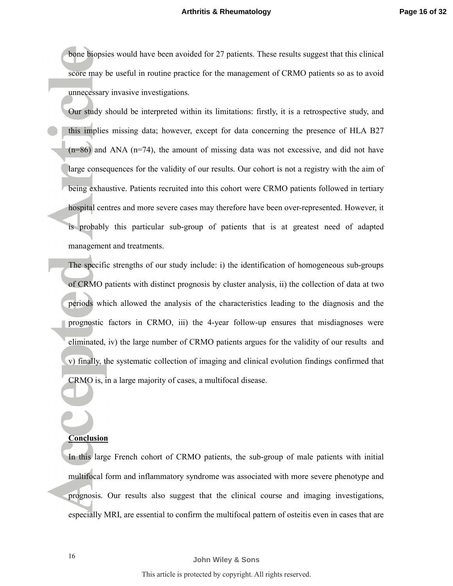bone biopsies would have been avoided for 27 patients. These results suggest that this clinical score may be useful in routine practice for the management of CRMO patients so as to avoid unnecessary invasive investigations.

Our study should be interpreted within its limitations: firstly, it is a retrospective study, and this implies missing data; however, except for data concerning the presence of HLA B27  $(n=86)$  and ANA  $(n=74)$ , the amount of missing data was not excessive, and did not have large consequences for the validity of our results. Our cohort is not a registry with the aim of being exhaustive. Patients recruited into this cohort were CRMO patients followed in tertiary hospital centres and more severe cases may therefore have been over-represented. However, it is probably this particular sub-group of patients that is at greatest need of adapted management and treatments.

The specific strengths of our study include: i) the identification of homogeneous sub-groups of CRMO patients with distinct prognosis by cluster analysis, ii) the collection of data at two periods which allowed the analysis of the characteristics leading to the diagnosis and the prognostic factors in CRMO, iii) the 4-year follow-up ensures that misdiagnoses were eliminated, iv) the large number of CRMO patients argues for the validity of our results and v) finally, the systematic collection of imaging and clinical evolution findings confirmed that CRMO is, in a large majority of cases, a multifocal disease.

### **Conclusion**

In this large French cohort of CRMO patients, the sub-group of male patients with initial multifocal form and inflammatory syndrome was associated with more severe phenotype and prognosis. Our results also suggest that the clinical course and imaging investigations, especially MRI, are essential to confirm the multifocal pattern of osteitis even in cases that are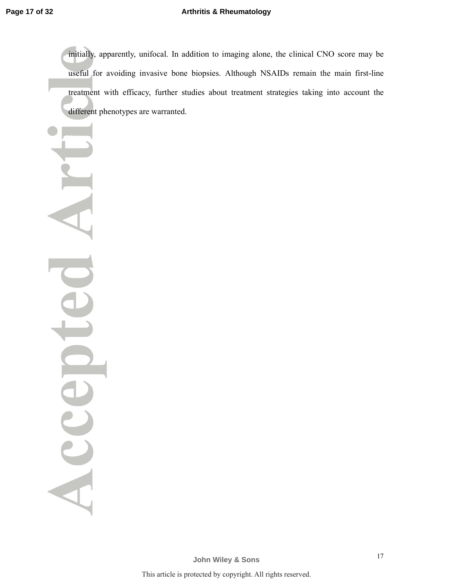initially, apparently, unifocal. In addition to imaging alone, the clinical CNO score may be useful for avoiding invasive bone biopsies. Although NSAIDs remain the main first-line treatment with efficacy, further studies about treatment strategies taking into account the different phenotypes are warranted.

Accel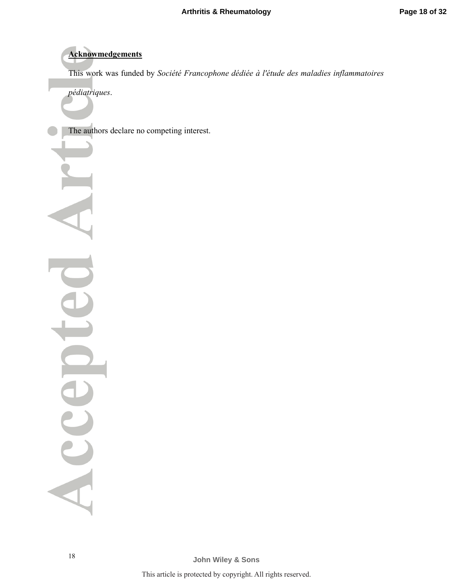# **Acknowmedgements**

This work was funded by *Société Francophone dédiée à l'étude des maladies inflammatoires* 

*pédiatriques*.

The authors declare no competing interest.

18

Acce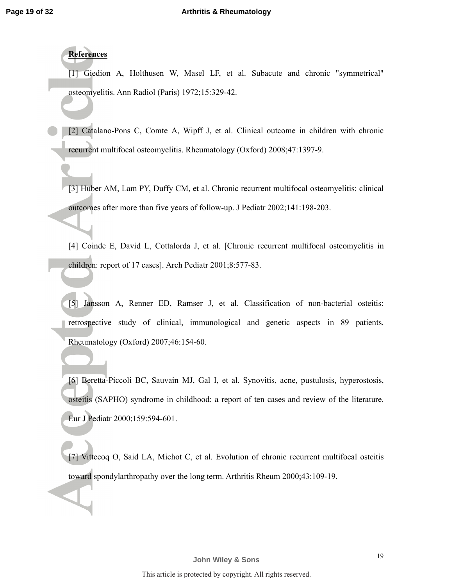# **References**

[1] Giedion A, Holthusen W, Masel LF, et al. Subacute and chronic "symmetrical" osteomyelitis. Ann Radiol (Paris) 1972;15:329-42.

[2] Catalano-Pons C, Comte A, Wipff J, et al. Clinical outcome in children with chronic recurrent multifocal osteomyelitis. Rheumatology (Oxford) 2008;47:1397-9.

[3] Huber AM, Lam PY, Duffy CM, et al. Chronic recurrent multifocal osteomyelitis: clinical outcomes after more than five years of follow-up. J Pediatr 2002;141:198-203.

[4] Coinde E, David L, Cottalorda J, et al. [Chronic recurrent multifocal osteomyelitis in children: report of 17 cases]. Arch Pediatr 2001;8:577-83.

[5] Jansson A, Renner ED, Ramser J, et al. Classification of non-bacterial osteitis: retrospective study of clinical, immunological and genetic aspects in 89 patients. Rheumatology (Oxford) 2007;46:154-60.

[6] Beretta-Piccoli BC, Sauvain MJ, Gal I, et al. Synovitis, acne, pustulosis, hyperostosis, osteitis (SAPHO) syndrome in childhood: a report of ten cases and review of the literature. Eur J Pediatr 2000;159:594-601.

[7] Vittecoq O, Said LA, Michot C, et al. Evolution of chronic recurrent multifocal osteitis toward spondylarthropathy over the long term. Arthritis Rheum 2000;43:109-19.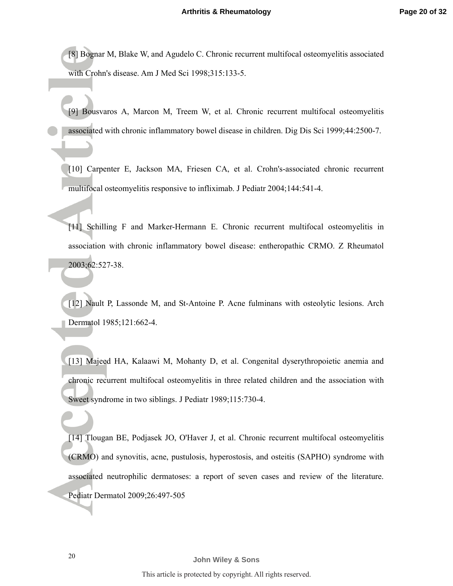[8] Bognar M, Blake W, and Agudelo C. Chronic recurrent multifocal osteomyelitis associated with Crohn's disease. Am J Med Sci 1998;315:133-5.

[9] Bousvaros A, Marcon M, Treem W, et al. Chronic recurrent multifocal osteomyelitis associated with chronic inflammatory bowel disease in children. Dig Dis Sci 1999;44:2500-7.

[10] Carpenter E, Jackson MA, Friesen CA, et al. Crohn's-associated chronic recurrent multifocal osteomyelitis responsive to infliximab. J Pediatr 2004;144:541-4.

[11] Schilling F and Marker-Hermann E. Chronic recurrent multifocal osteomyelitis in association with chronic inflammatory bowel disease: entheropathic CRMO. Z Rheumatol 2003;62:527-38.

[12] Nault P, Lassonde M, and St-Antoine P. Acne fulminans with osteolytic lesions. Arch Dermatol 1985;121:662-4.

[13] Majeed HA, Kalaawi M, Mohanty D, et al. Congenital dyserythropoietic anemia and chronic recurrent multifocal osteomyelitis in three related children and the association with Sweet syndrome in two siblings. J Pediatr 1989;115:730-4.

[14] Tlougan BE, Podjasek JO, O'Haver J, et al. Chronic recurrent multifocal osteomyelitis (CRMO) and synovitis, acne, pustulosis, hyperostosis, and osteitis (SAPHO) syndrome with associated neutrophilic dermatoses: a report of seven cases and review of the literature. Pediatr Dermatol 2009;26:497-505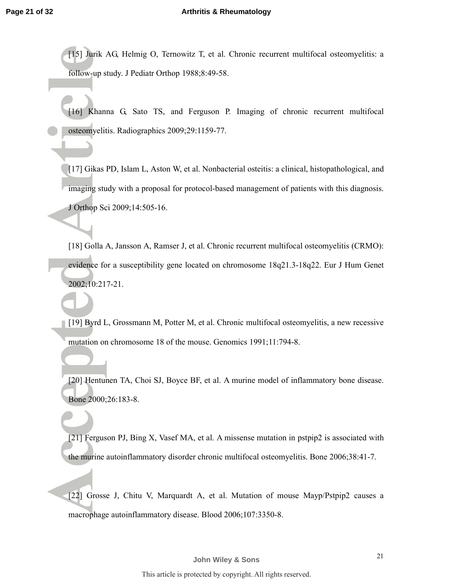[15] Jurik AG, Helmig O, Ternowitz T, et al. Chronic recurrent multifocal osteomyelitis: a follow-up study. J Pediatr Orthop 1988;8:49-58.

[16] Khanna G, Sato TS, and Ferguson P. Imaging of chronic recurrent multifocal osteomyelitis. Radiographics 2009;29:1159-77.

[17] Gikas PD, Islam L, Aston W, et al. Nonbacterial osteitis: a clinical, histopathological, and imaging study with a proposal for protocol-based management of patients with this diagnosis. J Orthop Sci 2009;14:505-16.

[18] Golla A, Jansson A, Ramser J, et al. Chronic recurrent multifocal osteomyelitis (CRMO): evidence for a susceptibility gene located on chromosome 18q21.3-18q22. Eur J Hum Genet 2002;10:217-21.

[19] Byrd L, Grossmann M, Potter M, et al. Chronic multifocal osteomyelitis, a new recessive mutation on chromosome 18 of the mouse. Genomics 1991;11:794-8.

[20] Hentunen TA, Choi SJ, Boyce BF, et al. A murine model of inflammatory bone disease. Bone 2000;26:183-8.

[21] Ferguson PJ, Bing X, Vasef MA, et al. A missense mutation in pstpip2 is associated with the murine autoinflammatory disorder chronic multifocal osteomyelitis. Bone 2006;38:41-7.

[22] Grosse J, Chitu V, Marquardt A, et al. Mutation of mouse Mayp/Pstpip2 causes a macrophage autoinflammatory disease. Blood 2006;107:3350-8.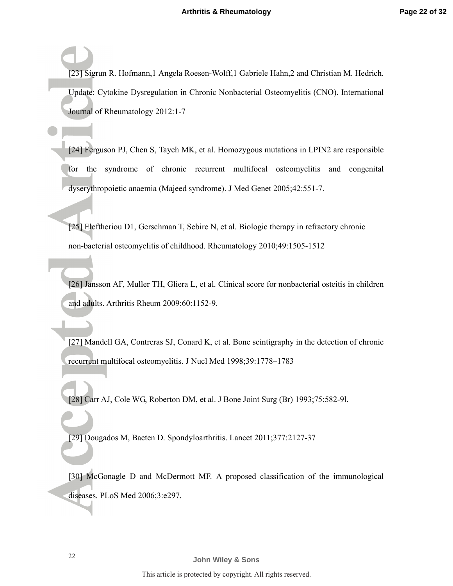[23] Sigrun R. Hofmann,1 Angela Roesen-Wolff,1 Gabriele Hahn,2 and Christian M. Hedrich. Update: Cytokine Dysregulation in Chronic Nonbacterial Osteomyelitis (CNO). International Journal of Rheumatology 2012:1-7

[24] Ferguson PJ, Chen S, Tayeh MK, et al. Homozygous mutations in LPIN2 are responsible for the syndrome of chronic recurrent multifocal osteomyelitis and congenital dyserythropoietic anaemia (Majeed syndrome). J Med Genet 2005;42:551-7.

[25] Eleftheriou D1, Gerschman T, Sebire N, et al. Biologic therapy in refractory chronic non-bacterial osteomyelitis of childhood. Rheumatology 2010;49:1505-1512

[26] Jansson AF, Muller TH, Gliera L, et al. Clinical score for nonbacterial osteitis in children and adults. Arthritis Rheum 2009;60:1152-9.

[27] Mandell GA, Contreras SJ, Conard K, et al. Bone scintigraphy in the detection of chronic recurrent multifocal osteomyelitis. J Nucl Med 1998;39:1778–1783

[28] Carr AJ, Cole WG, Roberton DM, et al. J Bone Joint Surg (Br) 1993;75:582-9l.

[29] Dougados M, Baeten D. Spondyloarthritis. Lancet 2011;377:2127-37

[30] McGonagle D and McDermott MF. A proposed classification of the immunological diseases. PLoS Med 2006;3:e297.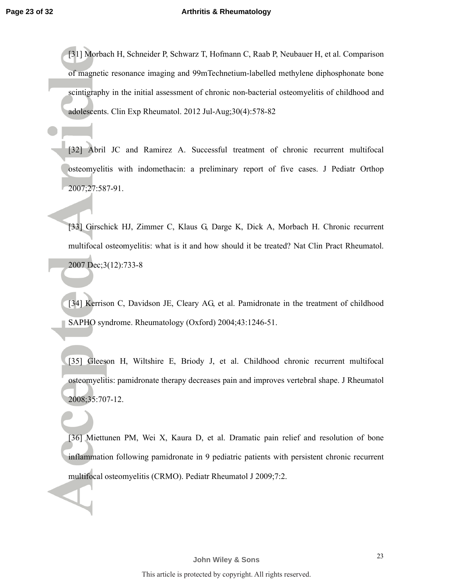[31] Morbach H, Schneider P, Schwarz T, Hofmann C, Raab P, Neubauer H, et al. Comparison of magnetic resonance imaging and 99mTechnetium-labelled methylene diphosphonate bone scintigraphy in the initial assessment of chronic non-bacterial osteomyelitis of childhood and adolescents. Clin Exp Rheumatol. 2012 Jul-Aug;30(4):578-82

[32] Abril JC and Ramirez A. Successful treatment of chronic recurrent multifocal osteomyelitis with indomethacin: a preliminary report of five cases. J Pediatr Orthop 2007;27:587-91.

[33] Girschick HJ, Zimmer C, Klaus G, Darge K, Dick A, Morbach H. Chronic recurrent multifocal osteomyelitis: what is it and how should it be treated? Nat Clin Pract Rheumatol. 2007 Dec;3(12):733-8

[34] Kerrison C, Davidson JE, Cleary AG, et al. Pamidronate in the treatment of childhood SAPHO syndrome. Rheumatology (Oxford) 2004;43:1246-51.

[35] Gleeson H, Wiltshire E, Briody J, et al. Childhood chronic recurrent multifocal osteomyelitis: pamidronate therapy decreases pain and improves vertebral shape. J Rheumatol 2008;35:707-12.

[36] Miettunen PM, Wei X, Kaura D, et al. Dramatic pain relief and resolution of bone inflammation following pamidronate in 9 pediatric patients with persistent chronic recurrent multifocal osteomyelitis (CRMO). Pediatr Rheumatol J 2009;7:2.

23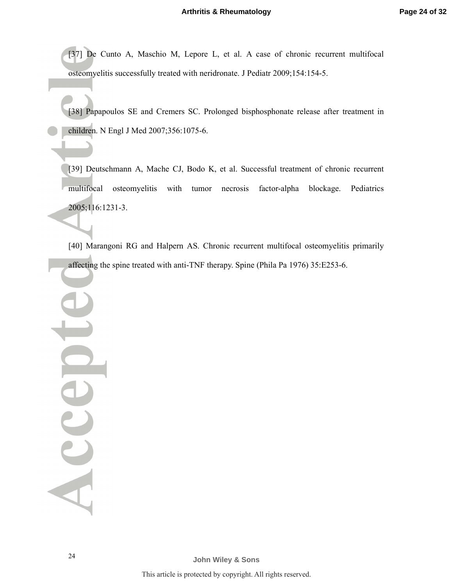[37] De Cunto A, Maschio M, Lepore L, et al. A case of chronic recurrent multifocal osteomyelitis successfully treated with neridronate. J Pediatr 2009;154:154-5.

[38] Papapoulos SE and Cremers SC. Prolonged bisphosphonate release after treatment in children. N Engl J Med 2007;356:1075-6.

[39] Deutschmann A, Mache CJ, Bodo K, et al. Successful treatment of chronic recurrent multifocal osteomyelitis with tumor necrosis factor-alpha blockage. Pediatrics 2005;116:1231-3.

[40] Marangoni RG and Halpern AS. Chronic recurrent multifocal osteomyelitis primarily affecting the spine treated with anti-TNF therapy. Spine (Phila Pa 1976) 35:E253-6.

Accel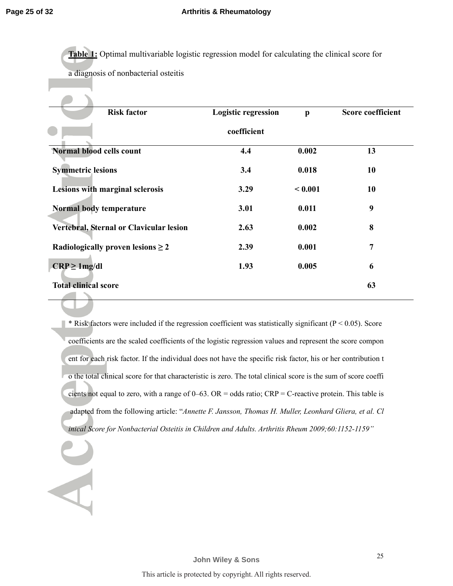**Table 1:** Optimal multivariable logistic regression model for calculating the clinical score for a diagnosis of nonbacterial osteitis

| <b>Risk factor</b>                      | <b>Logistic regression</b> | $\mathbf{p}$ | <b>Score coefficient</b> |  |
|-----------------------------------------|----------------------------|--------------|--------------------------|--|
|                                         | coefficient                |              |                          |  |
| Normal blood cells count                | 4.4                        | 0.002        | 13                       |  |
| <b>Symmetric lesions</b>                | 3.4                        | 0.018        | 10                       |  |
| Lesions with marginal sclerosis         | 3.29                       | < 0.001      | 10                       |  |
| Normal body temperature                 | 3.01                       | 0.011        | 9                        |  |
| Vertebral, Sternal or Clavicular lesion | 2.63                       | 0.002        | 8                        |  |
| Radiologically proven lesions $\geq 2$  | 2.39                       | 0.001        | 7                        |  |
| $CRP \geq 1mg/dl$                       | 1.93                       | 0.005        | 6                        |  |
| <b>Total clinical score</b>             |                            |              | 63                       |  |

 $*$  Risk factors were included if the regression coefficient was statistically significant ( $P < 0.05$ ). Score coefficients are the scaled coefficients of the logistic regression values and represent the score compon ent for each risk factor. If the individual does not have the specific risk factor, his or her contribution t o the total clinical score for that characteristic is zero. The total clinical score is the sum of score coeffi cients not equal to zero, with a range of  $0-63$ . OR = odds ratio; CRP = C-reactive protein. This table is adapted from the following article: "*Annette F. Jansson, Thomas H. Muller, Leonhard Gliera, et al. Cl inical Score for Nonbacterial Osteitis in Children and Adults. Arthritis Rheum 2009;60:1152-1159"*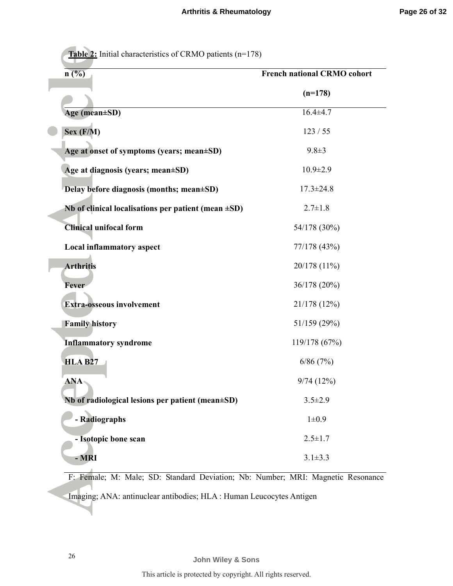**Table 2:** Initial characteristics of CRMO patients (n=178)

| n(%)                                                      | <b>French national CRMO cohort</b> |  |  |
|-----------------------------------------------------------|------------------------------------|--|--|
|                                                           | $(n=178)$                          |  |  |
| Age (mean±SD)                                             | $16.4 + 4.7$                       |  |  |
| Sex (F/M)                                                 | 123/55                             |  |  |
| Age at onset of symptoms (years; mean±SD)                 | $9.8 \pm 3$                        |  |  |
| Age at diagnosis (years; mean±SD)                         | $10.9 \pm 2.9$                     |  |  |
| Delay before diagnosis (months; mean±SD)                  | $17.3 \pm 24.8$                    |  |  |
| Nb of clinical localisations per patient (mean $\pm SD$ ) | $2.7 \pm 1.8$                      |  |  |
| <b>Clinical unifocal form</b>                             | 54/178 (30%)                       |  |  |
| <b>Local inflammatory aspect</b>                          | 77/178 (43%)                       |  |  |
| <b>Arthritis</b>                                          | 20/178 (11%)                       |  |  |
| <b>Fever</b>                                              | 36/178 (20%)                       |  |  |
| <b>Extra-osseous involvement</b>                          | 21/178 (12%)                       |  |  |
| <b>Family history</b>                                     | 51/159 (29%)                       |  |  |
| <b>Inflammatory syndrome</b>                              | 119/178 (67%)                      |  |  |
| <b>HLA B27</b>                                            | 6/86(7%)                           |  |  |
| <b>ANA</b>                                                | 9/74(12%)                          |  |  |
| Nb of radiological lesions per patient (mean $\pm SD$ )   | $3.5 \pm 2.9$                      |  |  |
| - Radiographs                                             | $1\pm0.9$                          |  |  |
| - Isotopic bone scan                                      | $2.5 \pm 1.7$                      |  |  |
| - MRI                                                     | $3.1 \pm 3.3$                      |  |  |

F: Female; M: Male; SD: Standard Deviation; Nb: Number; MRI: Magnetic Resonance

Imaging; ANA: antinuclear antibodies; HLA : Human Leucocytes Antigen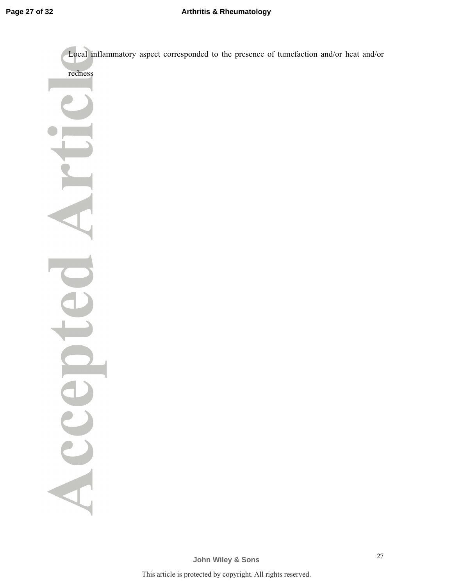Local inflammatory aspect corresponded to the presence of tumefaction and/or heat and/or

redness

Acce

**John Wiley & Sons**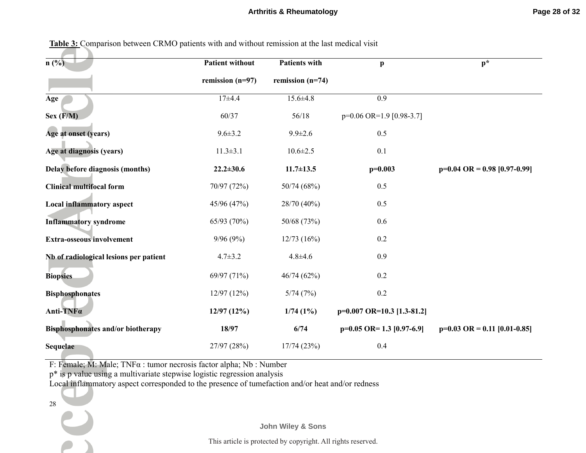| $n$ (%)                                  | <b>Patient without</b> | <b>Patients with</b> | $\mathbf{p}$                 | $p^*$                                   |
|------------------------------------------|------------------------|----------------------|------------------------------|-----------------------------------------|
|                                          | remission $(n=97)$     | remission $(n=74)$   |                              |                                         |
| Age                                      | $17 + 4.4$             | $15.6 \pm 4.8$       | 0.9                          |                                         |
| Sex (F/M)                                | 60/37                  | 56/18                | $p=0.06$ OR=1.9 [0.98-3.7]   |                                         |
| Age at onset (years)                     | $9.6 \pm 3.2$          | $9.9 \pm 2.6$        | 0.5                          |                                         |
| Age at diagnosis (years)                 | $11.3 \pm 3.1$         | $10.6 \pm 2.5$       | 0.1                          |                                         |
| Delay before diagnosis (months)          | $22.2 \pm 30.6$        | $11.7 \pm 13.5$      | $p=0.003$                    | $p=0.04$ OR = 0.98 [0.97-0.99]          |
| <b>Clinical multifocal form</b>          | 70/97 (72%)            | 50/74 (68%)          | 0.5                          |                                         |
| <b>Local inflammatory aspect</b>         | 45/96 (47%)            | 28/70 (40%)          | 0.5                          |                                         |
| <b>Inflammatory syndrome</b>             | 65/93 (70%)            | 50/68 (73%)          | 0.6                          |                                         |
| <b>Extra-osseous involvement</b>         | 9/96(9%)               | 12/73(16%)           | 0.2                          |                                         |
| Nb of radiological lesions per patient   | $4.7 \pm 3.2$          | $4.8 + 4.6$          | 0.9                          |                                         |
| <b>Biopsies</b>                          | 69/97 (71%)            | 46/74 (62%)          | 0.2                          |                                         |
| <b>Bisphosphonates</b>                   | 12/97(12%)             | 5/74(7%)             | 0.2                          |                                         |
| Anti-TNFa                                | 12/97(12%)             | 1/74(1%)             | $p=0.007$ OR=10.3 [1.3-81.2] |                                         |
| <b>Bisphosphonates and/or biotherapy</b> | 18/97                  | 6/74                 | $p=0.05$ OR= 1.3 [0.97-6.9]  | $p=0.03 \text{ OR } = 0.11 [0.01-0.85]$ |
| Sequelae                                 | 27/97 (28%)            | 17/74(23%)           | 0.4                          |                                         |

| <b>Table 3:</b> Comparison between CRMO patients with and without remission at the last medical visit |  |  |  |
|-------------------------------------------------------------------------------------------------------|--|--|--|
|-------------------------------------------------------------------------------------------------------|--|--|--|

F: Female; M: Male; TNFα : tumor necrosis factor alpha; Nb : Number

p\* is p value using a multivariate stepwise logistic regression analysis

Local inflammatory aspect corresponded to the presence of tumefaction and/or heat and/or redness

28

**John Wiley & Sons**

This article is protected by copyright. All rights reserved.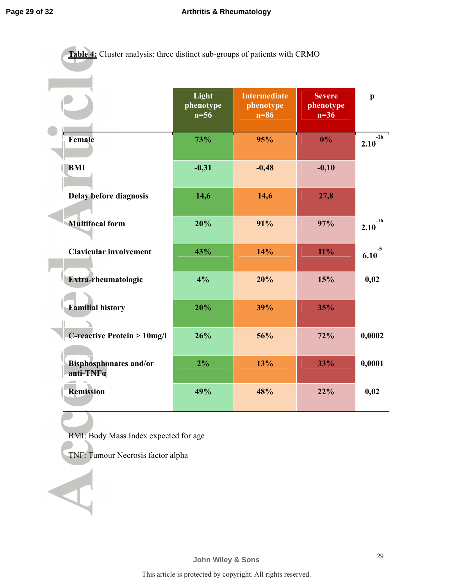| Table 4: Cluster analysis: three distinct sub-groups of patients with CRMO |                              |                                            |                                      |               |
|----------------------------------------------------------------------------|------------------------------|--------------------------------------------|--------------------------------------|---------------|
|                                                                            | Light<br>phenotype<br>$n=56$ | <b>Intermediate</b><br>phenotype<br>$n=86$ | <b>Severe</b><br>phenotype<br>$n=36$ | $\mathbf{p}$  |
| Female                                                                     | 73%                          | 95%                                        | $0\%$                                | $-16$<br>2.10 |
| <b>BMI</b>                                                                 | $-0,31$                      | $-0,48$                                    | $-0,10$                              |               |
| Delay before diagnosis                                                     | 14,6                         | 14,6                                       | 27,8                                 |               |
| <b>Multifocal form</b>                                                     | 20%                          | 91%                                        | 97%                                  | $-16$<br>2.10 |
| <b>Clavicular involvement</b>                                              | 43%                          | 14%                                        | $11\%$                               | $-5$<br>6.10  |
| Extra-rheumatologic                                                        | 4%                           | 20%                                        | 15%                                  | 0,02          |
| <b>Familial history</b>                                                    | 20%                          | 39%                                        | 35%                                  |               |
| <b>C-reactive Protein &gt; 10mg/l</b>                                      | 26%                          | 56%                                        | 72%                                  | 0,0002        |
| <b>Bisphosphonates and/or</b><br>anti-TNFa                                 | 2%                           | 13%                                        | 33%                                  | 0,0001        |
| <b>Remission</b>                                                           | 49%                          | 48%                                        | 22%                                  | 0,02          |

BMI: Body Mass Index expected for age

TNF: Tumour Necrosis factor alpha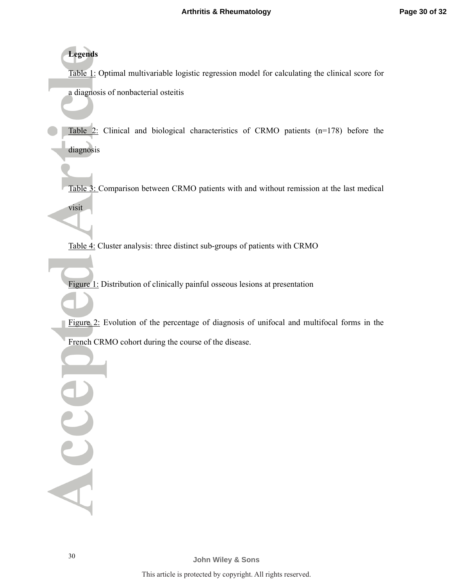**Legends** 

visit

Table 1: Optimal multivariable logistic regression model for calculating the clinical score for a diagnosis of nonbacterial osteitis

Table 2: Clinical and biological characteristics of CRMO patients (n=178) before the diagnosis

Table 3: Comparison between CRMO patients with and without remission at the last medical

Table 4: Cluster analysis: three distinct sub-groups of patients with CRMO

Figure 1: Distribution of clinically painful osseous lesions at presentation

Figure 2: Evolution of the percentage of diagnosis of unifocal and multifocal forms in the French CRMO cohort during the course of the disease.

Acce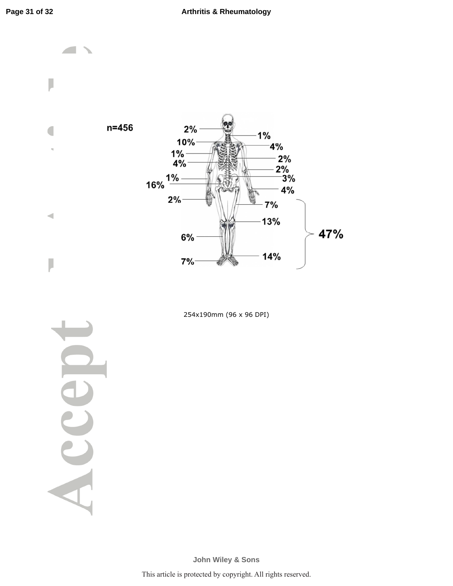

254x190mm (96 x 96 DPI)

Acce

**John Wiley & Sons**

This article is protected by copyright. All rights reserved.